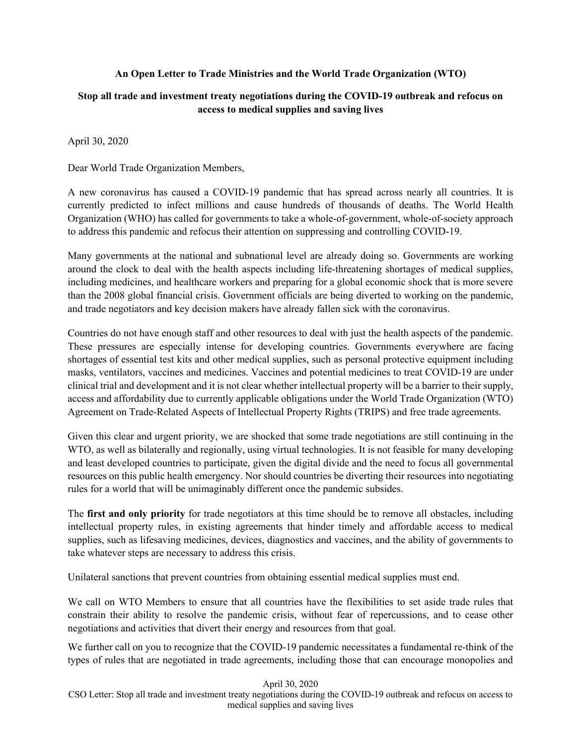## **An Open Letter to Trade Ministries and the World Trade Organization (WTO)**

## **Stop all trade and investment treaty negotiations during the COVID-19 outbreak and refocus on access to medical supplies and saving lives**

April 30, 2020

Dear World Trade Organization Members,

A new coronavirus has caused a COVID-19 pandemic that has spread across nearly all countries. It is currently predicted to infect millions and cause hundreds of thousands of deaths. The World Health Organization (WHO) has called for governments to take a whole-of-government, whole-of-society approach to address this pandemic and refocus their attention on suppressing and controlling COVID-19.

Many governments at the national and subnational level are already doing so. Governments are working around the clock to deal with the health aspects including life-threatening shortages of medical supplies, including medicines, and healthcare workers and preparing for a global economic shock that is more severe than the 2008 global financial crisis. Government officials are being diverted to working on the pandemic, and trade negotiators and key decision makers have already fallen sick with the coronavirus.

Countries do not have enough staff and other resources to deal with just the health aspects of the pandemic. These pressures are especially intense for developing countries. Governments everywhere are facing shortages of essential test kits and other medical supplies, such as personal protective equipment including masks, ventilators, vaccines and medicines. Vaccines and potential medicines to treat COVID-19 are under clinical trial and development and it is not clear whether intellectual property will be a barrier to their supply, access and affordability due to currently applicable obligations under the World Trade Organization (WTO) Agreement on Trade-Related Aspects of Intellectual Property Rights (TRIPS) and free trade agreements.

Given this clear and urgent priority, we are shocked that some trade negotiations are still continuing in the WTO, as well as bilaterally and regionally, using virtual technologies. It is not feasible for many developing and least developed countries to participate, given the digital divide and the need to focus all governmental resources on this public health emergency. Nor should countries be diverting their resources into negotiating rules for a world that will be unimaginably different once the pandemic subsides.

The **first and only priority** for trade negotiators at this time should be to remove all obstacles, including intellectual property rules, in existing agreements that hinder timely and affordable access to medical supplies, such as lifesaving medicines, devices, diagnostics and vaccines, and the ability of governments to take whatever steps are necessary to address this crisis.

Unilateral sanctions that prevent countries from obtaining essential medical supplies must end.

We call on WTO Members to ensure that all countries have the flexibilities to set aside trade rules that constrain their ability to resolve the pandemic crisis, without fear of repercussions, and to cease other negotiations and activities that divert their energy and resources from that goal.

We further call on you to recognize that the COVID-19 pandemic necessitates a fundamental re-think of the types of rules that are negotiated in trade agreements, including those that can encourage monopolies and

## April 30, 2020

CSO Letter: Stop all trade and investment treaty negotiations during the COVID-19 outbreak and refocus on access to medical supplies and saving lives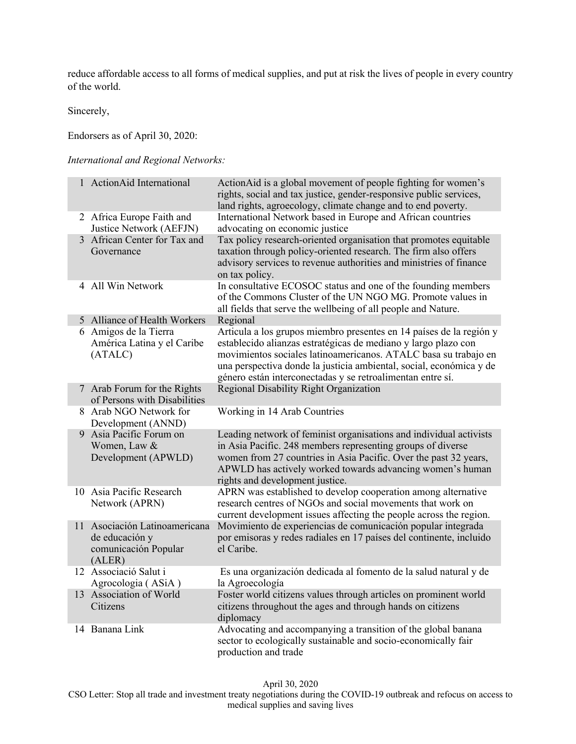reduce affordable access to all forms of medical supplies, and put at risk the lives of people in every country of the world.

Sincerely,

Endorsers as of April 30, 2020:

*International and Regional Networks:* 

| 1 ActionAid International                                                         | ActionAid is a global movement of people fighting for women's<br>rights, social and tax justice, gender-responsive public services,<br>land rights, agroecology, climate change and to end poverty.                                                                                                                                           |
|-----------------------------------------------------------------------------------|-----------------------------------------------------------------------------------------------------------------------------------------------------------------------------------------------------------------------------------------------------------------------------------------------------------------------------------------------|
| 2 Africa Europe Faith and<br>Justice Network (AEFJN)                              | International Network based in Europe and African countries<br>advocating on economic justice                                                                                                                                                                                                                                                 |
| 3 African Center for Tax and<br>Governance                                        | Tax policy research-oriented organisation that promotes equitable<br>taxation through policy-oriented research. The firm also offers<br>advisory services to revenue authorities and ministries of finance<br>on tax policy.                                                                                                                  |
| 4 All Win Network                                                                 | In consultative ECOSOC status and one of the founding members<br>of the Commons Cluster of the UN NGO MG. Promote values in<br>all fields that serve the wellbeing of all people and Nature.                                                                                                                                                  |
| 5 Alliance of Health Workers                                                      | Regional                                                                                                                                                                                                                                                                                                                                      |
| 6 Amigos de la Tierra<br>América Latina y el Caribe<br>(ATALC)                    | Articula a los grupos miembro presentes en 14 países de la región y<br>establecido alianzas estratégicas de mediano y largo plazo con<br>movimientos sociales latinoamericanos. ATALC basa su trabajo en<br>una perspectiva donde la justicia ambiental, social, económica y de<br>género están interconectadas y se retroalimentan entre sí. |
| 7 Arab Forum for the Rights<br>of Persons with Disabilities                       | Regional Disability Right Organization                                                                                                                                                                                                                                                                                                        |
| 8 Arab NGO Network for<br>Development (ANND)                                      | Working in 14 Arab Countries                                                                                                                                                                                                                                                                                                                  |
| 9 Asia Pacific Forum on<br>Women, Law &<br>Development (APWLD)                    | Leading network of feminist organisations and individual activists<br>in Asia Pacific. 248 members representing groups of diverse<br>women from 27 countries in Asia Pacific. Over the past 32 years,<br>APWLD has actively worked towards advancing women's human<br>rights and development justice.                                         |
| 10 Asia Pacific Research<br>Network (APRN)                                        | APRN was established to develop cooperation among alternative<br>research centres of NGOs and social movements that work on<br>current development issues affecting the people across the region.                                                                                                                                             |
| 11 Asociación Latinoamericana<br>de educación y<br>comunicación Popular<br>(ALER) | Movimiento de experiencias de comunicación popular integrada<br>por emisoras y redes radiales en 17 países del continente, incluido<br>el Caribe.                                                                                                                                                                                             |
| 12 Associació Salut i<br>Agrocologia (ASiA)                                       | Es una organización dedicada al fomento de la salud natural y de<br>la Agroecología                                                                                                                                                                                                                                                           |
| 13 Association of World<br>Citizens                                               | Foster world citizens values through articles on prominent world<br>citizens throughout the ages and through hands on citizens<br>diplomacy                                                                                                                                                                                                   |
| 14 Banana Link                                                                    | Advocating and accompanying a transition of the global banana<br>sector to ecologically sustainable and socio-economically fair<br>production and trade                                                                                                                                                                                       |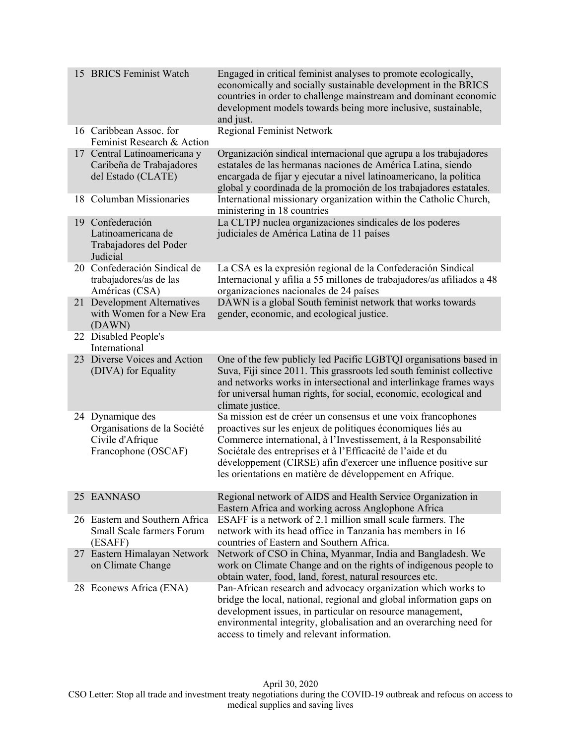| 15 BRICS Feminist Watch                                                                    | Engaged in critical feminist analyses to promote ecologically,<br>economically and socially sustainable development in the BRICS<br>countries in order to challenge mainstream and dominant economic<br>development models towards being more inclusive, sustainable,<br>and just.                                                                                                            |
|--------------------------------------------------------------------------------------------|-----------------------------------------------------------------------------------------------------------------------------------------------------------------------------------------------------------------------------------------------------------------------------------------------------------------------------------------------------------------------------------------------|
| 16 Caribbean Assoc. for<br>Feminist Research & Action                                      | <b>Regional Feminist Network</b>                                                                                                                                                                                                                                                                                                                                                              |
| 17 Central Latinoamericana y<br>Caribeña de Trabajadores<br>del Estado (CLATE)             | Organización sindical internacional que agrupa a los trabajadores<br>estatales de las hermanas naciones de América Latina, siendo<br>encargada de fijar y ejecutar a nivel latinoamericano, la política<br>global y coordinada de la promoción de los trabajadores estatales.                                                                                                                 |
| 18 Columban Missionaries                                                                   | International missionary organization within the Catholic Church,<br>ministering in 18 countries                                                                                                                                                                                                                                                                                              |
| 19 Confederación<br>Latinoamericana de<br>Trabajadores del Poder<br>Judicial               | La CLTPJ nuclea organizaciones sindicales de los poderes<br>judiciales de América Latina de 11 países                                                                                                                                                                                                                                                                                         |
| 20 Confederación Sindical de<br>trabajadores/as de las<br>Américas (CSA)                   | La CSA es la expresión regional de la Confederación Sindical<br>Internacional y afilia a 55 millones de trabajadores/as afiliados a 48<br>organizaciones nacionales de 24 países                                                                                                                                                                                                              |
| 21 Development Alternatives<br>with Women for a New Era<br>(DAWN)                          | DAWN is a global South feminist network that works towards<br>gender, economic, and ecological justice.                                                                                                                                                                                                                                                                                       |
| 22 Disabled People's<br>International                                                      |                                                                                                                                                                                                                                                                                                                                                                                               |
| 23 Diverse Voices and Action<br>(DIVA) for Equality                                        | One of the few publicly led Pacific LGBTQI organisations based in<br>Suva, Fiji since 2011. This grassroots led south feminist collective<br>and networks works in intersectional and interlinkage frames ways<br>for universal human rights, for social, economic, ecological and<br>climate justice.                                                                                        |
| 24 Dynamique des<br>Organisations de la Société<br>Civile d'Afrique<br>Francophone (OSCAF) | Sa mission est de créer un consensus et une voix francophones<br>proactives sur les enjeux de politiques économiques liés au<br>Commerce international, à l'Investissement, à la Responsabilité<br>Sociétale des entreprises et à l'Efficacité de l'aide et du<br>développement (CIRSE) afin d'exercer une influence positive sur<br>les orientations en matière de développement en Afrique. |
| 25 EANNASO                                                                                 | Regional network of AIDS and Health Service Organization in<br>Eastern Africa and working across Anglophone Africa                                                                                                                                                                                                                                                                            |
| 26 Eastern and Southern Africa<br>Small Scale farmers Forum<br>(ESAFF)                     | ESAFF is a network of 2.1 million small scale farmers. The<br>network with its head office in Tanzania has members in 16<br>countries of Eastern and Southern Africa.                                                                                                                                                                                                                         |
| 27 Eastern Himalayan Network<br>on Climate Change                                          | Network of CSO in China, Myanmar, India and Bangladesh. We<br>work on Climate Change and on the rights of indigenous people to<br>obtain water, food, land, forest, natural resources etc.                                                                                                                                                                                                    |
| 28 Econews Africa (ENA)                                                                    | Pan-African research and advocacy organization which works to<br>bridge the local, national, regional and global information gaps on<br>development issues, in particular on resource management,<br>environmental integrity, globalisation and an overarching need for<br>access to timely and relevant information.                                                                         |

April 30, 2020 CSO Letter: Stop all trade and investment treaty negotiations during the COVID-19 outbreak and refocus on access to medical supplies and saving lives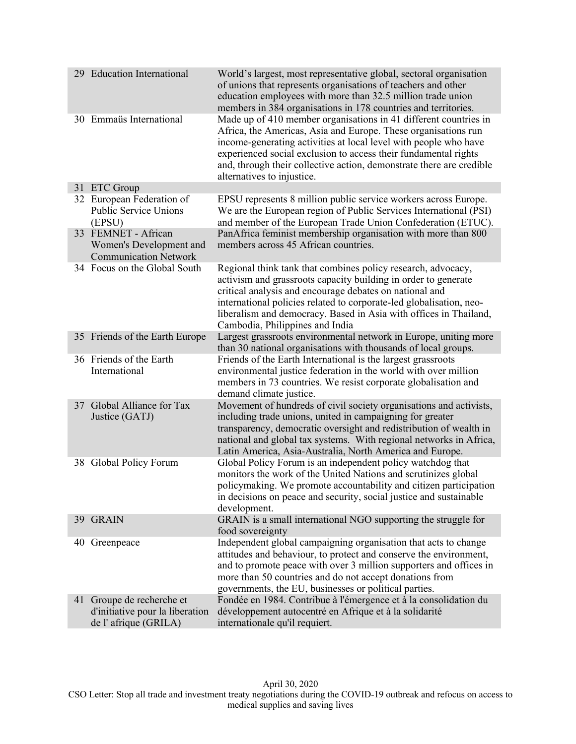| 29 Education International                                                           | World's largest, most representative global, sectoral organisation<br>of unions that represents organisations of teachers and other<br>education employees with more than 32.5 million trade union<br>members in 384 organisations in 178 countries and territories.                                                                                                            |
|--------------------------------------------------------------------------------------|---------------------------------------------------------------------------------------------------------------------------------------------------------------------------------------------------------------------------------------------------------------------------------------------------------------------------------------------------------------------------------|
| 30 Emmaüs International                                                              | Made up of 410 member organisations in 41 different countries in<br>Africa, the Americas, Asia and Europe. These organisations run<br>income-generating activities at local level with people who have<br>experienced social exclusion to access their fundamental rights<br>and, through their collective action, demonstrate there are credible<br>alternatives to injustice. |
| 31 ETC Group                                                                         |                                                                                                                                                                                                                                                                                                                                                                                 |
| 32 European Federation of<br><b>Public Service Unions</b><br>(EPSU)                  | EPSU represents 8 million public service workers across Europe.<br>We are the European region of Public Services International (PSI)<br>and member of the European Trade Union Confederation (ETUC).                                                                                                                                                                            |
| 33 FEMNET - African<br>Women's Development and<br><b>Communication Network</b>       | PanAfrica feminist membership organisation with more than 800<br>members across 45 African countries.                                                                                                                                                                                                                                                                           |
| 34 Focus on the Global South                                                         | Regional think tank that combines policy research, advocacy,<br>activism and grassroots capacity building in order to generate<br>critical analysis and encourage debates on national and<br>international policies related to corporate-led globalisation, neo-<br>liberalism and democracy. Based in Asia with offices in Thailand,<br>Cambodia, Philippines and India        |
| 35 Friends of the Earth Europe                                                       | Largest grassroots environmental network in Europe, uniting more<br>than 30 national organisations with thousands of local groups.                                                                                                                                                                                                                                              |
| 36 Friends of the Earth<br>International                                             | Friends of the Earth International is the largest grassroots<br>environmental justice federation in the world with over million<br>members in 73 countries. We resist corporate globalisation and<br>demand climate justice.                                                                                                                                                    |
| 37 Global Alliance for Tax<br>Justice (GATJ)                                         | Movement of hundreds of civil society organisations and activists,<br>including trade unions, united in campaigning for greater<br>transparency, democratic oversight and redistribution of wealth in<br>national and global tax systems. With regional networks in Africa,<br>Latin America, Asia-Australia, North America and Europe.                                         |
| 38 Global Policy Forum                                                               | Global Policy Forum is an independent policy watchdog that<br>monitors the work of the United Nations and scrutinizes global<br>policymaking. We promote accountability and citizen participation<br>in decisions on peace and security, social justice and sustainable<br>development.                                                                                         |
| 39 GRAIN                                                                             | GRAIN is a small international NGO supporting the struggle for<br>food sovereignty                                                                                                                                                                                                                                                                                              |
| 40 Greenpeace                                                                        | Independent global campaigning organisation that acts to change<br>attitudes and behaviour, to protect and conserve the environment,<br>and to promote peace with over 3 million supporters and offices in<br>more than 50 countries and do not accept donations from<br>governments, the EU, businesses or political parties.                                                  |
| 41 Groupe de recherche et<br>d'initiative pour la liberation<br>de l'afrique (GRILA) | Fondée en 1984. Contribue à l'émergence et à la consolidation du<br>développement autocentré en Afrique et à la solidarité<br>internationale qu'il requiert.                                                                                                                                                                                                                    |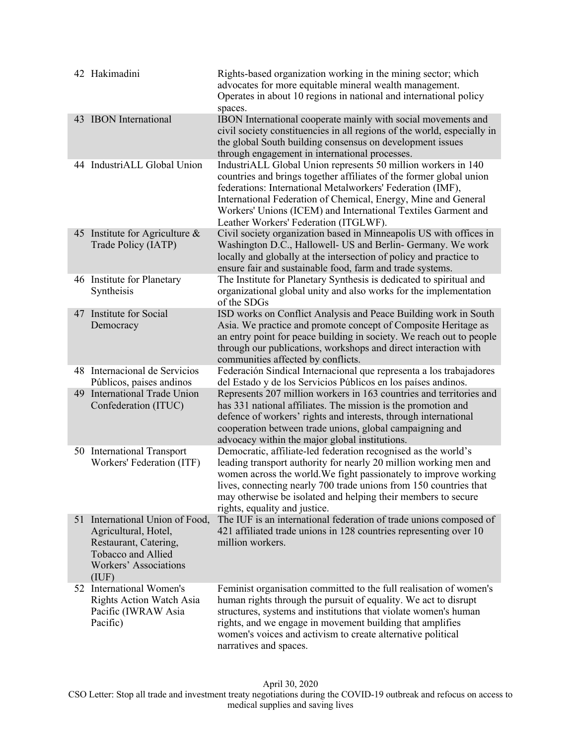| 42 Hakimadini                                                                                                                             | Rights-based organization working in the mining sector; which<br>advocates for more equitable mineral wealth management.<br>Operates in about 10 regions in national and international policy<br>spaces.                                                                                                                                                                       |
|-------------------------------------------------------------------------------------------------------------------------------------------|--------------------------------------------------------------------------------------------------------------------------------------------------------------------------------------------------------------------------------------------------------------------------------------------------------------------------------------------------------------------------------|
| 43 IBON International                                                                                                                     | IBON International cooperate mainly with social movements and<br>civil society constituencies in all regions of the world, especially in<br>the global South building consensus on development issues<br>through engagement in international processes.                                                                                                                        |
| 44 IndustriALL Global Union                                                                                                               | IndustriALL Global Union represents 50 million workers in 140<br>countries and brings together affiliates of the former global union<br>federations: International Metalworkers' Federation (IMF),<br>International Federation of Chemical, Energy, Mine and General<br>Workers' Unions (ICEM) and International Textiles Garment and<br>Leather Workers' Federation (ITGLWF). |
| 45 Institute for Agriculture $\&$<br>Trade Policy (IATP)                                                                                  | Civil society organization based in Minneapolis US with offices in<br>Washington D.C., Hallowell- US and Berlin- Germany. We work<br>locally and globally at the intersection of policy and practice to<br>ensure fair and sustainable food, farm and trade systems.                                                                                                           |
| 46 Institute for Planetary<br>Syntheisis                                                                                                  | The Institute for Planetary Synthesis is dedicated to spiritual and<br>organizational global unity and also works for the implementation<br>of the SDGs                                                                                                                                                                                                                        |
| 47 Institute for Social<br>Democracy                                                                                                      | ISD works on Conflict Analysis and Peace Building work in South<br>Asia. We practice and promote concept of Composite Heritage as<br>an entry point for peace building in society. We reach out to people<br>through our publications, workshops and direct interaction with<br>communities affected by conflicts.                                                             |
| 48 Internacional de Servicios<br>Públicos, paises andinos                                                                                 | Federación Sindical Internacional que representa a los trabajadores<br>del Estado y de los Servicios Públicos en los países andinos.                                                                                                                                                                                                                                           |
| 49 International Trade Union<br>Confederation (ITUC)                                                                                      | Represents 207 million workers in 163 countries and territories and<br>has 331 national affiliates. The mission is the promotion and<br>defence of workers' rights and interests, through international<br>cooperation between trade unions, global campaigning and<br>advocacy within the major global institutions.                                                          |
| 50 International Transport<br>Workers' Federation (ITF)                                                                                   | Democratic, affiliate-led federation recognised as the world's<br>leading transport authority for nearly 20 million working men and<br>women across the world. We fight passionately to improve working<br>lives, connecting nearly 700 trade unions from 150 countries that<br>may otherwise be isolated and helping their members to secure<br>rights, equality and justice. |
| 51 International Union of Food,<br>Agricultural, Hotel,<br>Restaurant, Catering,<br>Tobacco and Allied<br>Workers' Associations<br>(IIIF) | The IUF is an international federation of trade unions composed of<br>421 affiliated trade unions in 128 countries representing over 10<br>million workers.                                                                                                                                                                                                                    |
| 52 International Women's<br><b>Rights Action Watch Asia</b><br>Pacific (IWRAW Asia<br>Pacific)                                            | Feminist organisation committed to the full realisation of women's<br>human rights through the pursuit of equality. We act to disrupt<br>structures, systems and institutions that violate women's human<br>rights, and we engage in movement building that amplifies<br>women's voices and activism to create alternative political<br>narratives and spaces.                 |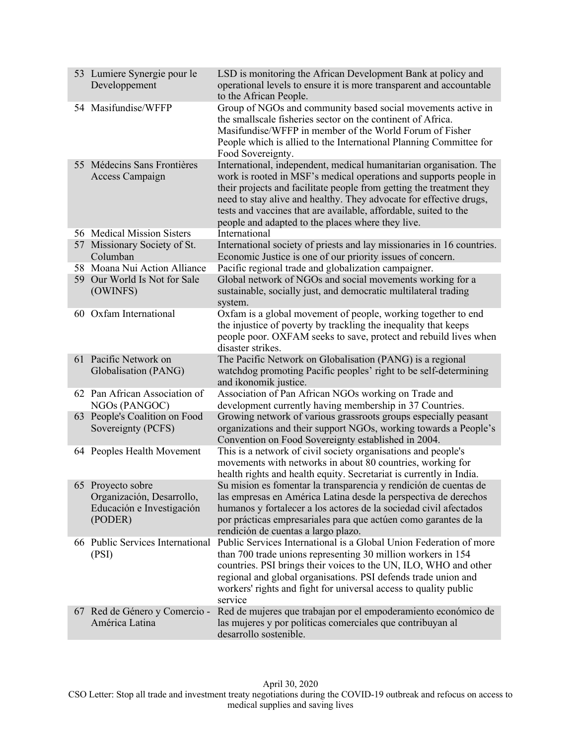| 53 Lumiere Synergie pour le<br>Developpement                                           | LSD is monitoring the African Development Bank at policy and<br>operational levels to ensure it is more transparent and accountable<br>to the African People.                                                                                                                                                                                                                                                  |
|----------------------------------------------------------------------------------------|----------------------------------------------------------------------------------------------------------------------------------------------------------------------------------------------------------------------------------------------------------------------------------------------------------------------------------------------------------------------------------------------------------------|
| 54 Masifundise/WFFP                                                                    | Group of NGOs and community based social movements active in<br>the smallscale fisheries sector on the continent of Africa.<br>Masifundise/WFFP in member of the World Forum of Fisher<br>People which is allied to the International Planning Committee for<br>Food Sovereignty.                                                                                                                              |
| 55 Médecins Sans Frontières<br>Access Campaign                                         | International, independent, medical humanitarian organisation. The<br>work is rooted in MSF's medical operations and supports people in<br>their projects and facilitate people from getting the treatment they<br>need to stay alive and healthy. They advocate for effective drugs,<br>tests and vaccines that are available, affordable, suited to the<br>people and adapted to the places where they live. |
| 56 Medical Mission Sisters                                                             | International                                                                                                                                                                                                                                                                                                                                                                                                  |
| 57 Missionary Society of St.                                                           | International society of priests and lay missionaries in 16 countries.                                                                                                                                                                                                                                                                                                                                         |
| Columban                                                                               | Economic Justice is one of our priority issues of concern.                                                                                                                                                                                                                                                                                                                                                     |
| 58 Moana Nui Action Alliance                                                           | Pacific regional trade and globalization campaigner.                                                                                                                                                                                                                                                                                                                                                           |
| 59 Our World Is Not for Sale<br>(OWINFS)                                               | Global network of NGOs and social movements working for a<br>sustainable, socially just, and democratic multilateral trading<br>system.                                                                                                                                                                                                                                                                        |
| 60 Oxfam International                                                                 | Oxfam is a global movement of people, working together to end<br>the injustice of poverty by trackling the inequality that keeps<br>people poor. OXFAM seeks to save, protect and rebuild lives when<br>disaster strikes.                                                                                                                                                                                      |
| 61 Pacific Network on<br>Globalisation (PANG)                                          | The Pacific Network on Globalisation (PANG) is a regional<br>watchdog promoting Pacific peoples' right to be self-determining<br>and ikonomik justice.                                                                                                                                                                                                                                                         |
| 62 Pan African Association of<br>NGOs (PANGOC)                                         | Association of Pan African NGOs working on Trade and<br>development currently having membership in 37 Countries.                                                                                                                                                                                                                                                                                               |
| 63 People's Coalition on Food<br>Sovereignty (PCFS)                                    | Growing network of various grassroots groups especially peasant<br>organizations and their support NGOs, working towards a People's<br>Convention on Food Sovereignty established in 2004.                                                                                                                                                                                                                     |
| 64 Peoples Health Movement                                                             | This is a network of civil society organisations and people's<br>movements with networks in about 80 countries, working for<br>health rights and health equity. Secretariat is currently in India.                                                                                                                                                                                                             |
| 65 Provecto sobre<br>Organización, Desarrollo,<br>Educación e Investigación<br>(PODER) | Su mision es fomentar la transparencia y rendición de cuentas de<br>las empresas en América Latina desde la perspectiva de derechos<br>humanos y fortalecer a los actores de la sociedad civil afectados<br>por prácticas empresariales para que actúen como garantes de la<br>rendición de cuentas a largo plazo.                                                                                             |
| 66 Public Services International<br>(PSI)                                              | Public Services International is a Global Union Federation of more<br>than 700 trade unions representing 30 million workers in 154<br>countries. PSI brings their voices to the UN, ILO, WHO and other<br>regional and global organisations. PSI defends trade union and<br>workers' rights and fight for universal access to quality public<br>service                                                        |
| 67 Red de Género y Comercio -<br>América Latina                                        | Red de mujeres que trabajan por el empoderamiento económico de<br>las mujeres y por políticas comerciales que contribuyan al<br>desarrollo sostenible.                                                                                                                                                                                                                                                         |

April 30, 2020 CSO Letter: Stop all trade and investment treaty negotiations during the COVID-19 outbreak and refocus on access to medical supplies and saving lives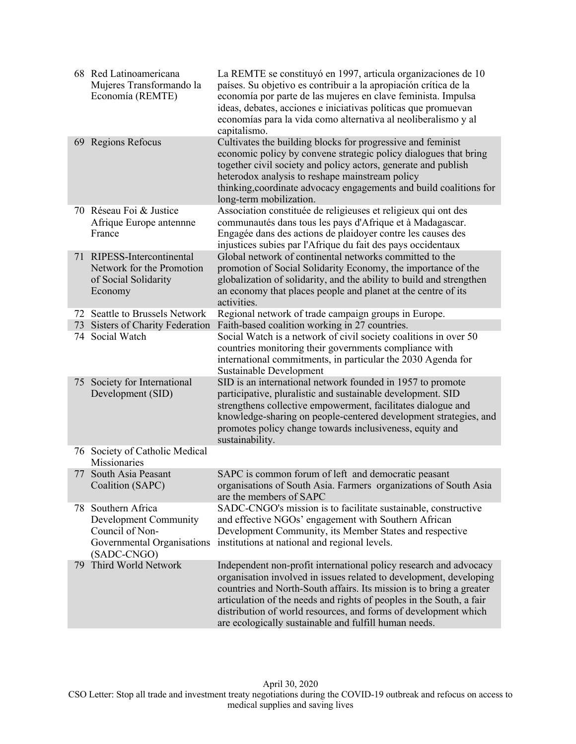|     | 68 Red Latinoamericana<br>Mujeres Transformando la<br>Economía (REMTE)                                      | La REMTE se constituyó en 1997, articula organizaciones de 10<br>países. Su objetivo es contribuir a la apropiación crítica de la<br>economía por parte de las mujeres en clave feminista. Impulsa<br>ideas, debates, acciones e iniciativas políticas que promuevan<br>economías para la vida como alternativa al neoliberalismo y al<br>capitalismo.                                                              |
|-----|-------------------------------------------------------------------------------------------------------------|---------------------------------------------------------------------------------------------------------------------------------------------------------------------------------------------------------------------------------------------------------------------------------------------------------------------------------------------------------------------------------------------------------------------|
|     | 69 Regions Refocus                                                                                          | Cultivates the building blocks for progressive and feminist<br>economic policy by convene strategic policy dialogues that bring<br>together civil society and policy actors, generate and publish<br>heterodox analysis to reshape mainstream policy<br>thinking, coordinate advocacy engagements and build coalitions for<br>long-term mobilization.                                                               |
|     | 70 Réseau Foi & Justice<br>Afrique Europe antennne<br>France                                                | Association constituée de religieuses et religieux qui ont des<br>communautés dans tous les pays d'Afrique et à Madagascar.<br>Engagée dans des actions de plaidoyer contre les causes des<br>injustices subies par l'Afrique du fait des pays occidentaux                                                                                                                                                          |
|     | 71 RIPESS-Intercontinental<br>Network for the Promotion<br>of Social Solidarity<br>Economy                  | Global network of continental networks committed to the<br>promotion of Social Solidarity Economy, the importance of the<br>globalization of solidarity, and the ability to build and strengthen<br>an economy that places people and planet at the centre of its<br>activities.                                                                                                                                    |
|     | 72 Seattle to Brussels Network                                                                              | Regional network of trade campaign groups in Europe.                                                                                                                                                                                                                                                                                                                                                                |
|     | 73 Sisters of Charity Federation                                                                            | Faith-based coalition working in 27 countries.                                                                                                                                                                                                                                                                                                                                                                      |
|     | 74 Social Watch                                                                                             | Social Watch is a network of civil society coalitions in over 50<br>countries monitoring their governments compliance with<br>international commitments, in particular the 2030 Agenda for<br>Sustainable Development                                                                                                                                                                                               |
|     | 75 Society for International<br>Development (SID)                                                           | SID is an international network founded in 1957 to promote<br>participative, pluralistic and sustainable development. SID<br>strengthens collective empowerment, facilitates dialogue and<br>knowledge-sharing on people-centered development strategies, and<br>promotes policy change towards inclusiveness, equity and<br>sustainability.                                                                        |
|     | 76 Society of Catholic Medical<br>Missionaries                                                              |                                                                                                                                                                                                                                                                                                                                                                                                                     |
|     | 77 South Asia Peasant<br>Coalition (SAPC)                                                                   | SAPC is common forum of left and democratic peasant<br>organisations of South Asia. Farmers organizations of South Asia<br>are the members of SAPC                                                                                                                                                                                                                                                                  |
|     | 78 Southern Africa<br>Development Community<br>Council of Non-<br>Governmental Organisations<br>(SADC-CNGO) | SADC-CNGO's mission is to facilitate sustainable, constructive<br>and effective NGOs' engagement with Southern African<br>Development Community, its Member States and respective<br>institutions at national and regional levels.                                                                                                                                                                                  |
| 79. | Third World Network                                                                                         | Independent non-profit international policy research and advocacy<br>organisation involved in issues related to development, developing<br>countries and North-South affairs. Its mission is to bring a greater<br>articulation of the needs and rights of peoples in the South, a fair<br>distribution of world resources, and forms of development which<br>are ecologically sustainable and fulfill human needs. |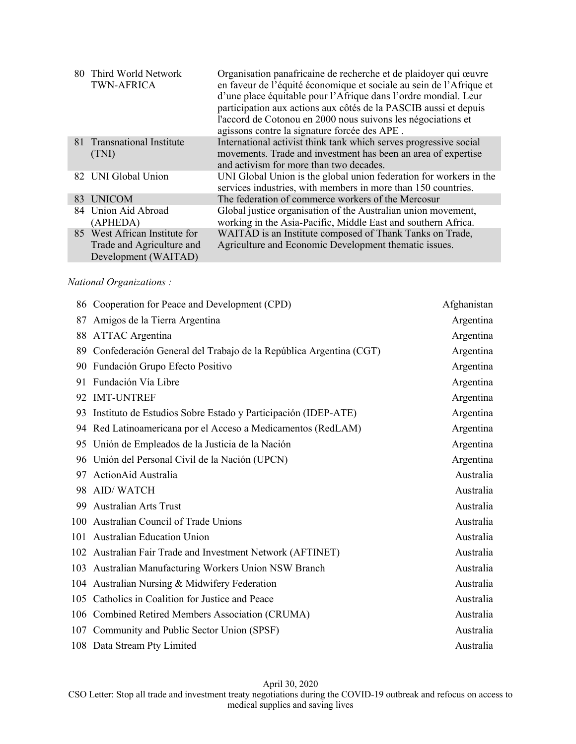|    | 80 Third World Network<br><b>TWN-AFRICA</b>                                        | Organisation panafricaine de recherche et de plaidoyer qui œuvre<br>en faveur de l'équité économique et sociale au sein de l'Afrique et<br>d'une place équitable pour l'Afrique dans l'ordre mondial. Leur<br>participation aux actions aux côtés de la PASCIB aussi et depuis<br>l'accord de Cotonou en 2000 nous suivons les négociations et<br>agissons contre la signature forcée des APE. |
|----|------------------------------------------------------------------------------------|------------------------------------------------------------------------------------------------------------------------------------------------------------------------------------------------------------------------------------------------------------------------------------------------------------------------------------------------------------------------------------------------|
|    | 81 Transnational Institute<br>(TNI)                                                | International activist think tank which serves progressive social<br>movements. Trade and investment has been an area of expertise<br>and activism for more than two decades.                                                                                                                                                                                                                  |
|    | 82 UNI Global Union                                                                | UNI Global Union is the global union federation for workers in the<br>services industries, with members in more than 150 countries.                                                                                                                                                                                                                                                            |
| 83 | <b>UNICOM</b>                                                                      | The federation of commerce workers of the Mercosur                                                                                                                                                                                                                                                                                                                                             |
|    | 84 Union Aid Abroad<br>(APHEDA)                                                    | Global justice organisation of the Australian union movement,<br>working in the Asia-Pacific, Middle East and southern Africa.                                                                                                                                                                                                                                                                 |
|    | 85 West African Institute for<br>Trade and Agriculture and<br>Development (WAITAD) | WAITAD is an Institute composed of Thank Tanks on Trade,<br>Agriculture and Economic Development thematic issues.                                                                                                                                                                                                                                                                              |

## *National Organizations :*

|     | 86 Cooperation for Peace and Development (CPD)                    | Afghanistan |
|-----|-------------------------------------------------------------------|-------------|
| 87  | Amigos de la Tierra Argentina                                     | Argentina   |
| 88  | <b>ATTAC</b> Argentina                                            | Argentina   |
| 89  | Confederación General del Trabajo de la República Argentina (CGT) | Argentina   |
| 90  | Fundación Grupo Efecto Positivo                                   | Argentina   |
| 91  | Fundación Vía Libre                                               | Argentina   |
| 92  | <b>IMT-UNTREF</b>                                                 | Argentina   |
| 93  | Instituto de Estudios Sobre Estado y Participación (IDEP-ATE)     | Argentina   |
|     | 94 Red Latinoamericana por el Acceso a Medicamentos (RedLAM)      | Argentina   |
| 95  | Unión de Empleados de la Justicia de la Nación                    | Argentina   |
|     | 96 Unión del Personal Civil de la Nación (UPCN)                   | Argentina   |
| 97  | ActionAid Australia                                               | Australia   |
| 98  | <b>AID/WATCH</b>                                                  | Australia   |
| 99  | <b>Australian Arts Trust</b>                                      | Australia   |
|     | 100 Australian Council of Trade Unions                            | Australia   |
| 101 | <b>Australian Education Union</b>                                 | Australia   |
|     | 102 Australian Fair Trade and Investment Network (AFTINET)        | Australia   |
|     | 103 Australian Manufacturing Workers Union NSW Branch             | Australia   |
|     | 104 Australian Nursing & Midwifery Federation                     | Australia   |
|     | 105 Catholics in Coalition for Justice and Peace                  | Australia   |
|     | 106 Combined Retired Members Association (CRUMA)                  | Australia   |
|     | 107 Community and Public Sector Union (SPSF)                      | Australia   |
|     | 108 Data Stream Pty Limited                                       | Australia   |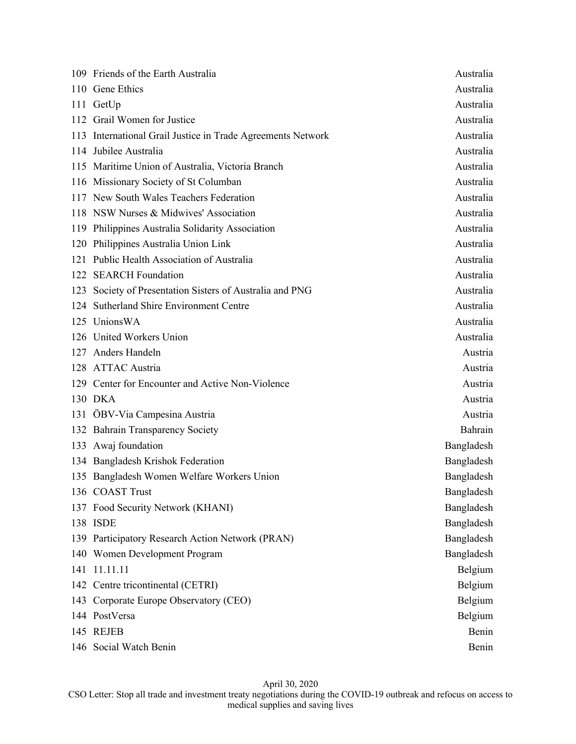|     | 109 Friends of the Earth Australia                          | Australia  |
|-----|-------------------------------------------------------------|------------|
|     | 110 Gene Ethics                                             | Australia  |
|     | 111 GetUp                                                   | Australia  |
|     | 112 Grail Women for Justice                                 | Australia  |
|     | 113 International Grail Justice in Trade Agreements Network | Australia  |
|     | 114 Jubilee Australia                                       | Australia  |
|     | 115 Maritime Union of Australia, Victoria Branch            | Australia  |
|     | 116 Missionary Society of St Columban                       | Australia  |
|     | 117 New South Wales Teachers Federation                     | Australia  |
|     | 118 NSW Nurses & Midwives' Association                      | Australia  |
| 119 | Philippines Australia Solidarity Association                | Australia  |
| 120 | Philippines Australia Union Link                            | Australia  |
|     | 121 Public Health Association of Australia                  | Australia  |
|     | 122 SEARCH Foundation                                       | Australia  |
| 123 | Society of Presentation Sisters of Australia and PNG        | Australia  |
|     | 124 Sutherland Shire Environment Centre                     | Australia  |
|     | 125 UnionsWA                                                | Australia  |
|     | 126 United Workers Union                                    | Australia  |
|     | 127 Anders Handeln                                          | Austria    |
|     | 128 ATTAC Austria                                           | Austria    |
|     | 129 Center for Encounter and Active Non-Violence            | Austria    |
|     | 130 DKA                                                     | Austria    |
|     | 131 ÖBV-Via Campesina Austria                               | Austria    |
|     | 132 Bahrain Transparency Society                            | Bahrain    |
|     | 133 Awaj foundation                                         | Bangladesh |
|     | 134 Bangladesh Krishok Federation                           | Bangladesh |
|     | 135 Bangladesh Women Welfare Workers Union                  | Bangladesh |
|     | 136 COAST Trust                                             | Bangladesh |
|     | 137 Food Security Network (KHANI)                           | Bangladesh |
|     | 138 ISDE                                                    | Bangladesh |
|     | 139 Participatory Research Action Network (PRAN)            | Bangladesh |
|     | 140 Women Development Program                               | Bangladesh |
| 141 | 11.11.11                                                    | Belgium    |
|     | 142 Centre tricontinental (CETRI)                           | Belgium    |
|     | 143 Corporate Europe Observatory (CEO)                      | Belgium    |
|     | 144 PostVersa                                               | Belgium    |
|     | 145 REJEB                                                   | Benin      |
|     | 146 Social Watch Benin                                      | Benin      |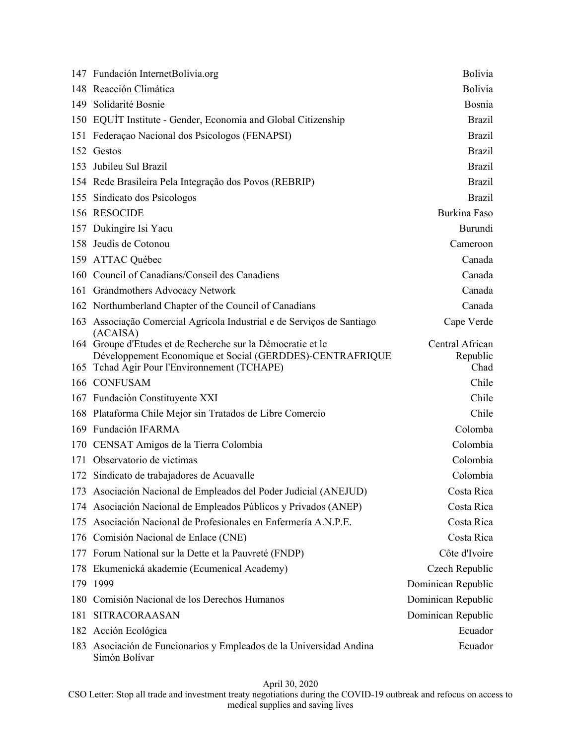|     | 147 Fundación InternetBolivia.org                                                                         | Bolivia            |
|-----|-----------------------------------------------------------------------------------------------------------|--------------------|
|     | 148 Reacción Climática                                                                                    | Bolivia            |
|     | 149 Solidarité Bosnie                                                                                     | Bosnia             |
|     | 150 EQUIT Institute - Gender, Economia and Global Citizenship                                             | <b>Brazil</b>      |
|     | 151 Federação Nacional dos Psicologos (FENAPSI)                                                           | <b>Brazil</b>      |
|     | 152 Gestos                                                                                                | <b>Brazil</b>      |
| 153 | Jubileu Sul Brazil                                                                                        | <b>Brazil</b>      |
|     | 154 Rede Brasileira Pela Integração dos Povos (REBRIP)                                                    | <b>Brazil</b>      |
|     | 155 Sindicato dos Psicologos                                                                              | <b>Brazil</b>      |
|     | 156 RESOCIDE                                                                                              | Burkina Faso       |
|     | 157 Dukingire Isi Yacu                                                                                    | Burundi            |
|     | 158 Jeudis de Cotonou                                                                                     | Cameroon           |
|     | 159 ATTAC Québec                                                                                          | Canada             |
|     | 160 Council of Canadians/Conseil des Canadiens                                                            | Canada             |
|     | 161 Grandmothers Advocacy Network                                                                         | Canada             |
|     | 162 Northumberland Chapter of the Council of Canadians                                                    | Canada             |
| 163 | Associação Comercial Agrícola Industrial e de Serviços de Santiago<br>(ACAISA)                            | Cape Verde         |
|     | 164 Groupe d'Etudes et de Recherche sur la Démocratie et le                                               | Central African    |
|     | Développement Economique et Social (GERDDES)-CENTRAFRIQUE<br>165 Tchad Agir Pour l'Environnement (TCHAPE) | Republic<br>Chad   |
|     | 166 CONFUSAM                                                                                              | Chile              |
|     | 167 Fundación Constituyente XXI                                                                           | Chile              |
|     | 168 Plataforma Chile Mejor sin Tratados de Libre Comercio                                                 | Chile              |
|     | 169 Fundación IFARMA                                                                                      | Colomba            |
|     | 170 CENSAT Amigos de la Tierra Colombia                                                                   | Colombia           |
|     | 171 Observatorio de victimas                                                                              | Colombia           |
|     | 172 Sindicato de trabajadores de Acuavalle                                                                | Colombia           |
|     | 173 Asociación Nacional de Empleados del Poder Judicial (ANEJUD)                                          | Costa Rica         |
|     | 174 Asociación Nacional de Empleados Públicos y Privados (ANEP)                                           | Costa Rica         |
| 175 | Asociación Nacional de Profesionales en Enfermería A.N.P.E.                                               | Costa Rica         |
| 176 | Comisión Nacional de Enlace (CNE)                                                                         | Costa Rica         |
|     | 177 Forum National sur la Dette et la Pauvreté (FNDP)                                                     | Côte d'Ivoire      |
| 178 | Ekumenická akademie (Ecumenical Academy)                                                                  | Czech Republic     |
| 179 | 1999                                                                                                      | Dominican Republic |
| 180 | Comisión Nacional de los Derechos Humanos                                                                 | Dominican Republic |
| 181 | SITRACORAASAN                                                                                             | Dominican Republic |
| 182 | Acción Ecológica                                                                                          | Ecuador            |
| 183 | Asociación de Funcionarios y Empleados de la Universidad Andina<br>Simón Bolívar                          | Ecuador            |

CSO Letter: Stop all trade and investment treaty negotiations during the COVID-19 outbreak and refocus on access to medical supplies and saving lives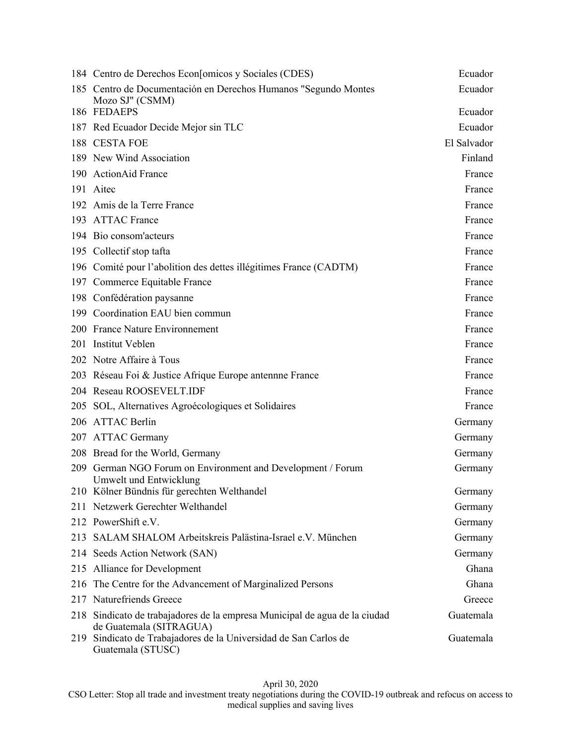|     | 184 Centro de Derechos Econ[omicos y Sociales (CDES)                                              | Ecuador     |
|-----|---------------------------------------------------------------------------------------------------|-------------|
|     | 185 Centro de Documentación en Derechos Humanos "Segundo Montes<br>Mozo SJ" (CSMM)                | Ecuador     |
|     | 186 FEDAEPS                                                                                       | Ecuador     |
|     | 187 Red Ecuador Decide Mejor sin TLC                                                              | Ecuador     |
|     | 188 CESTA FOE                                                                                     | El Salvador |
|     | 189 New Wind Association                                                                          | Finland     |
|     | 190 ActionAid France                                                                              | France      |
|     | 191 Aitec                                                                                         | France      |
|     | 192 Amis de la Terre France                                                                       | France      |
|     | 193 ATTAC France                                                                                  | France      |
|     | 194 Bio consom'acteurs                                                                            | France      |
|     | 195 Collectif stop tafta                                                                          | France      |
|     | 196 Comité pour l'abolition des dettes illégitimes France (CADTM)                                 | France      |
|     | 197 Commerce Equitable France                                                                     | France      |
|     | 198 Confédération paysanne                                                                        | France      |
|     | 199 Coordination EAU bien commun                                                                  | France      |
|     | 200 France Nature Environnement                                                                   | France      |
|     | 201 Institut Veblen                                                                               | France      |
|     | 202 Notre Affaire à Tous                                                                          | France      |
|     | 203 Réseau Foi & Justice Afrique Europe antennne France                                           | France      |
|     | 204 Reseau ROOSEVELT.IDF                                                                          | France      |
| 205 | SOL, Alternatives Agroécologiques et Solidaires                                                   | France      |
|     | 206 ATTAC Berlin                                                                                  | Germany     |
|     | 207 ATTAC Germany                                                                                 | Germany     |
|     | 208 Bread for the World, Germany                                                                  | Germany     |
| 209 | German NGO Forum on Environment and Development / Forum<br>Umwelt und Entwicklung                 | Germany     |
|     | 210 Kölner Bündnis für gerechten Welthandel                                                       | Germany     |
|     | 211 Netzwerk Gerechter Welthandel                                                                 | Germany     |
|     | 212 PowerShift e.V.                                                                               | Germany     |
| 213 | SALAM SHALOM Arbeitskreis Palästina-Israel e.V. München                                           | Germany     |
|     | 214 Seeds Action Network (SAN)                                                                    | Germany     |
|     | 215 Alliance for Development                                                                      | Ghana       |
| 216 | The Centre for the Advancement of Marginalized Persons                                            | Ghana       |
|     | 217 Naturefriends Greece                                                                          | Greece      |
| 218 | Sindicato de trabajadores de la empresa Municipal de agua de la ciudad<br>de Guatemala (SITRAGUA) | Guatemala   |
| 219 | Sindicato de Trabajadores de la Universidad de San Carlos de<br>Guatemala (STUSC)                 | Guatemala   |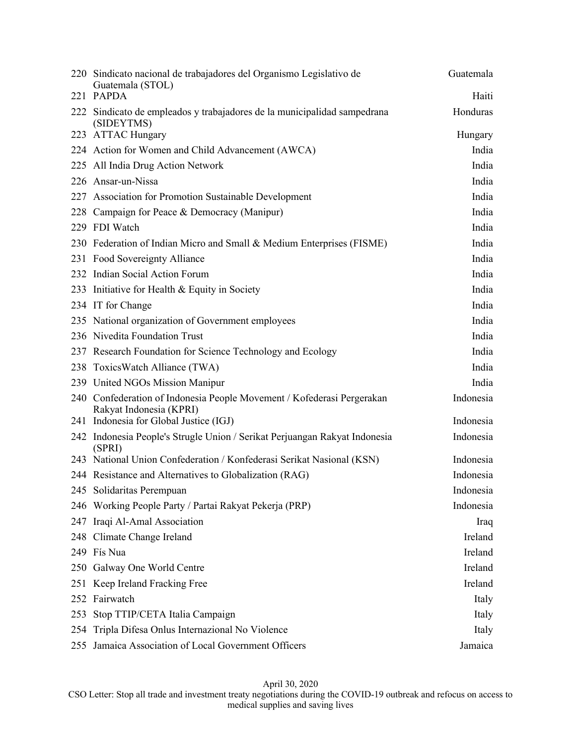|     | 220 Sindicato nacional de trabajadores del Organismo Legislativo de<br>Guatemala (STOL)<br>221 PAPDA | Guatemala<br>Haiti |
|-----|------------------------------------------------------------------------------------------------------|--------------------|
| 222 | Sindicato de empleados y trabajadores de la municipalidad sampedrana<br>(SIDEYTMS)                   | Honduras           |
|     | 223 ATTAC Hungary                                                                                    | Hungary            |
|     | 224 Action for Women and Child Advancement (AWCA)                                                    | India              |
|     | 225 All India Drug Action Network                                                                    | India              |
|     | 226 Ansar-un-Nissa                                                                                   | India              |
|     | 227 Association for Promotion Sustainable Development                                                | India              |
| 228 | Campaign for Peace & Democracy (Manipur)                                                             | India              |
|     | 229 FDI Watch                                                                                        | India              |
|     | 230 Federation of Indian Micro and Small & Medium Enterprises (FISME)                                | India              |
|     | 231 Food Sovereignty Alliance                                                                        | India              |
|     | 232 Indian Social Action Forum                                                                       | India              |
|     | 233 Initiative for Health & Equity in Society                                                        | India              |
|     | 234 IT for Change                                                                                    | India              |
|     | 235 National organization of Government employees                                                    | India              |
|     | 236 Nivedita Foundation Trust                                                                        | India              |
|     | 237 Research Foundation for Science Technology and Ecology                                           | India              |
|     | 238 Toxics Watch Alliance (TWA)                                                                      | India              |
|     | 239 United NGOs Mission Manipur                                                                      | India              |
|     | 240 Confederation of Indonesia People Movement / Kofederasi Pergerakan<br>Rakyat Indonesia (KPRI)    | Indonesia          |
|     | 241 Indonesia for Global Justice (IGJ)                                                               | Indonesia          |
|     | 242 Indonesia People's Strugle Union / Serikat Perjuangan Rakyat Indonesia<br>(SPRI)                 | Indonesia          |
|     | 243 National Union Confederation / Konfederasi Serikat Nasional (KSN)                                | Indonesia          |
|     | 244 Resistance and Alternatives to Globalization (RAG)                                               | Indonesia          |
|     | 245 Solidaritas Perempuan                                                                            | Indonesia          |
|     | 246 Working People Party / Partai Rakyat Pekerja (PRP)                                               | Indonesia          |
| 247 | Iraqi Al-Amal Association                                                                            | Iraq               |
| 248 | Climate Change Ireland                                                                               | Ireland            |
|     | 249 Fís Nua                                                                                          | Ireland            |
| 250 | Galway One World Centre                                                                              | Ireland            |
|     | 251 Keep Ireland Fracking Free                                                                       | Ireland            |
| 252 | Fairwatch                                                                                            | Italy              |
| 253 | Stop TTIP/CETA Italia Campaign                                                                       | Italy              |
| 254 | Tripla Difesa Onlus Internazional No Violence                                                        | Italy              |
|     | 255 Jamaica Association of Local Government Officers                                                 | Jamaica            |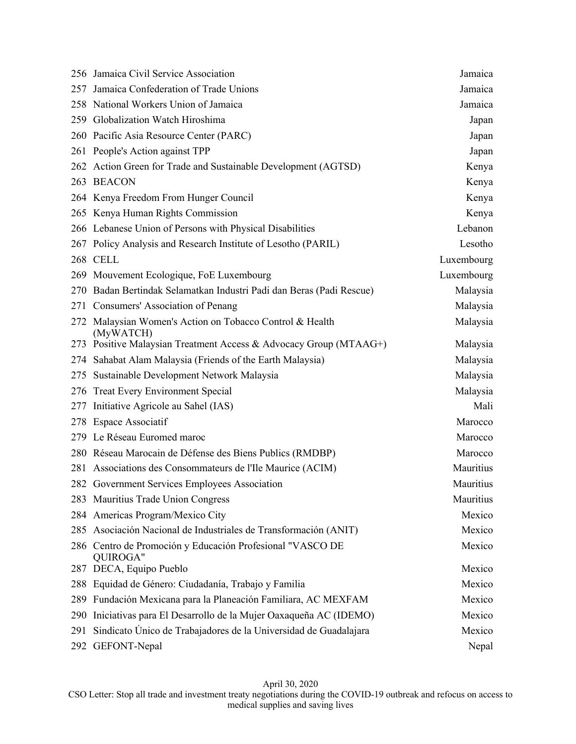|     | 256 Jamaica Civil Service Association                                    | Jamaica    |
|-----|--------------------------------------------------------------------------|------------|
| 257 | Jamaica Confederation of Trade Unions                                    | Jamaica    |
|     | 258 National Workers Union of Jamaica                                    | Jamaica    |
|     | 259 Globalization Watch Hiroshima                                        | Japan      |
|     | 260 Pacific Asia Resource Center (PARC)                                  | Japan      |
|     | 261 People's Action against TPP                                          | Japan      |
|     | 262 Action Green for Trade and Sustainable Development (AGTSD)           | Kenya      |
|     | 263 BEACON                                                               | Kenya      |
|     | 264 Kenya Freedom From Hunger Council                                    | Kenya      |
|     | 265 Kenya Human Rights Commission                                        | Kenya      |
|     | 266 Lebanese Union of Persons with Physical Disabilities                 | Lebanon    |
|     | 267 Policy Analysis and Research Institute of Lesotho (PARIL)            | Lesotho    |
|     | 268 CELL                                                                 | Luxembourg |
|     | 269 Mouvement Ecologique, FoE Luxembourg                                 | Luxembourg |
|     | 270 Badan Bertindak Selamatkan Industri Padi dan Beras (Padi Rescue)     | Malaysia   |
|     | 271 Consumers' Association of Penang                                     | Malaysia   |
|     | 272 Malaysian Women's Action on Tobacco Control & Health<br>(MyWATCH)    | Malaysia   |
|     | 273 Positive Malaysian Treatment Access & Advocacy Group (MTAAG+)        | Malaysia   |
| 274 | Sahabat Alam Malaysia (Friends of the Earth Malaysia)                    | Malaysia   |
| 275 | Sustainable Development Network Malaysia                                 | Malaysia   |
|     | 276 Treat Every Environment Special                                      | Malaysia   |
| 277 | Initiative Agricole au Sahel (IAS)                                       | Mali       |
|     | 278 Espace Associatif                                                    | Marocco    |
|     | 279 Le Réseau Euromed maroc                                              | Marocco    |
|     | 280 Réseau Marocain de Défense des Biens Publics (RMDBP)                 | Marocco    |
| 281 | Associations des Consommateurs de l'Ile Maurice (ACIM)                   | Mauritius  |
|     | 282 Government Services Employees Association                            | Mauritius  |
|     | 283 Mauritius Trade Union Congress                                       | Mauritius  |
|     | 284 Americas Program/Mexico City                                         | Mexico     |
| 285 | Asociación Nacional de Industriales de Transformación (ANIT)             | Mexico     |
| 286 | Centro de Promoción y Educación Profesional "VASCO DE<br><b>QUIROGA"</b> | Mexico     |
|     | 287 DECA, Equipo Pueblo                                                  | Mexico     |
| 288 | Equidad de Género: Ciudadanía, Trabajo y Familia                         | Mexico     |
| 289 | Fundación Mexicana para la Planeación Familiara, AC MEXFAM               | Mexico     |
| 290 | Iniciativas para El Desarrollo de la Mujer Oaxaqueña AC (IDEMO)          | Mexico     |
| 291 | Sindicato Único de Trabajadores de la Universidad de Guadalajara         | Mexico     |
| 292 | GEFONT-Nepal                                                             | Nepal      |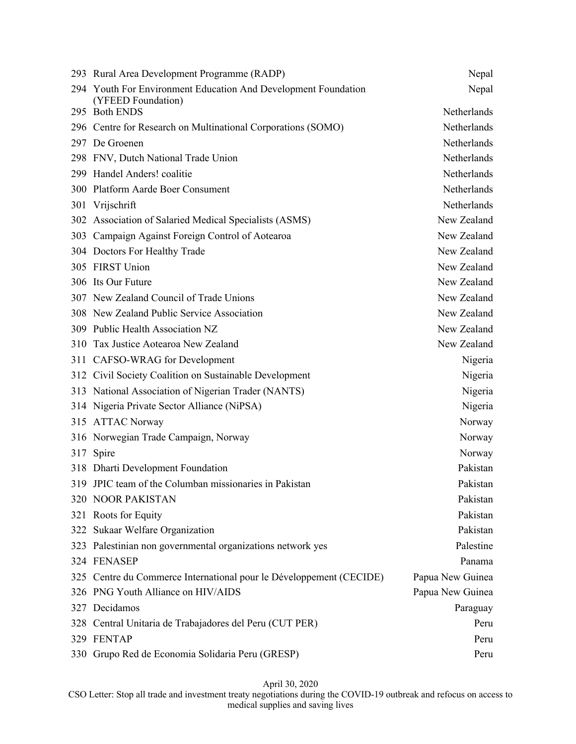|     | 293 Rural Area Development Programme (RADP)                                          | Nepal            |
|-----|--------------------------------------------------------------------------------------|------------------|
|     | 294 Youth For Environment Education And Development Foundation<br>(YFEED Foundation) | Nepal            |
|     | 295 Both ENDS                                                                        | Netherlands      |
|     | 296 Centre for Research on Multinational Corporations (SOMO)                         | Netherlands      |
|     | 297 De Groenen                                                                       | Netherlands      |
|     | 298 FNV, Dutch National Trade Union                                                  | Netherlands      |
|     | 299 Handel Anders! coalitie                                                          | Netherlands      |
|     | 300 Platform Aarde Boer Consument                                                    | Netherlands      |
| 301 | Vrijschrift                                                                          | Netherlands      |
|     | 302 Association of Salaried Medical Specialists (ASMS)                               | New Zealand      |
| 303 | Campaign Against Foreign Control of Aotearoa                                         | New Zealand      |
|     | 304 Doctors For Healthy Trade                                                        | New Zealand      |
|     | 305 FIRST Union                                                                      | New Zealand      |
|     | 306 Its Our Future                                                                   | New Zealand      |
|     | 307 New Zealand Council of Trade Unions                                              | New Zealand      |
|     | 308 New Zealand Public Service Association                                           | New Zealand      |
|     | 309 Public Health Association NZ                                                     | New Zealand      |
|     | 310 Tax Justice Aotearoa New Zealand                                                 | New Zealand      |
|     | 311 CAFSO-WRAG for Development                                                       | Nigeria          |
|     | 312 Civil Society Coalition on Sustainable Development                               | Nigeria          |
|     | 313 National Association of Nigerian Trader (NANTS)                                  | Nigeria          |
|     | 314 Nigeria Private Sector Alliance (NiPSA)                                          | Nigeria          |
|     | 315 ATTAC Norway                                                                     | Norway           |
|     | 316 Norwegian Trade Campaign, Norway                                                 | Norway           |
| 317 | Spire                                                                                | Norway           |
|     | 318 Dharti Development Foundation                                                    | Pakistan         |
|     | 319 JPIC team of the Columban missionaries in Pakistan                               | Pakistan         |
|     | 320 NOOR PAKISTAN                                                                    | Pakistan         |
|     | 321 Roots for Equity                                                                 | Pakistan         |
|     | 322 Sukaar Welfare Organization                                                      | Pakistan         |
|     | 323 Palestinian non governmental organizations network yes                           | Palestine        |
|     | 324 FENASEP                                                                          | Panama           |
|     | 325 Centre du Commerce International pour le Développement (CECIDE)                  | Papua New Guinea |
|     | 326 PNG Youth Alliance on HIV/AIDS                                                   | Papua New Guinea |
|     | 327 Decidamos                                                                        | Paraguay         |
|     | 328 Central Unitaria de Trabajadores del Peru (CUT PER)                              | Peru             |
|     | 329 FENTAP                                                                           | Peru             |
|     | 330 Grupo Red de Economia Solidaria Peru (GRESP)                                     | Peru             |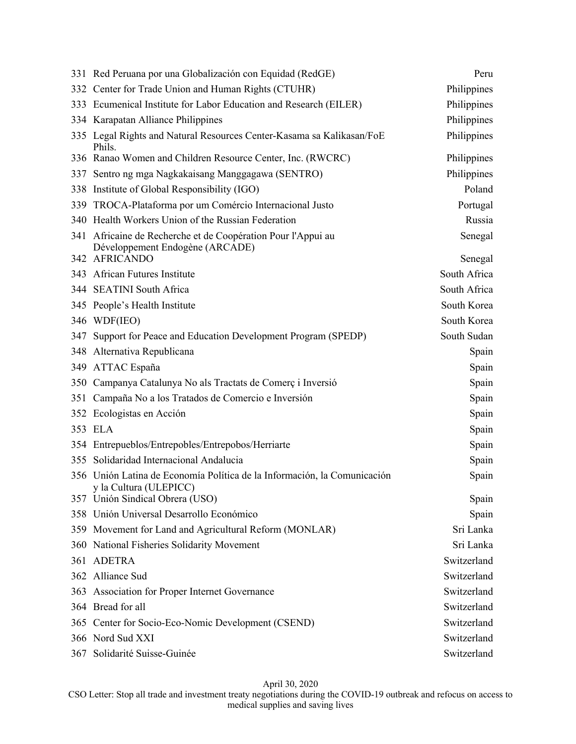|     | 331 Red Peruana por una Globalización con Equidad (RedGE)                                          | Peru         |
|-----|----------------------------------------------------------------------------------------------------|--------------|
|     | 332 Center for Trade Union and Human Rights (CTUHR)                                                | Philippines  |
|     | 333 Ecumenical Institute for Labor Education and Research (EILER)                                  | Philippines  |
|     | 334 Karapatan Alliance Philippines                                                                 | Philippines  |
|     | 335 Legal Rights and Natural Resources Center-Kasama sa Kalikasan/FoE<br>Phils.                    | Philippines  |
|     | 336 Ranao Women and Children Resource Center, Inc. (RWCRC)                                         | Philippines  |
| 337 | Sentro ng mga Nagkakaisang Manggagawa (SENTRO)                                                     | Philippines  |
|     | 338 Institute of Global Responsibility (IGO)                                                       | Poland       |
|     | 339 TROCA-Plataforma por um Comércio Internacional Justo                                           | Portugal     |
|     | 340 Health Workers Union of the Russian Federation                                                 | Russia       |
|     | 341 Africaine de Recherche et de Coopération Pour l'Appui au<br>Développement Endogène (ARCADE)    | Senegal      |
|     | 342 AFRICANDO                                                                                      | Senegal      |
|     | 343 African Futures Institute                                                                      | South Africa |
|     | 344 SEATINI South Africa                                                                           | South Africa |
|     | 345 People's Health Institute                                                                      | South Korea  |
|     | 346 WDF(IEO)                                                                                       | South Korea  |
| 347 | Support for Peace and Education Development Program (SPEDP)                                        | South Sudan  |
| 348 | Alternativa Republicana                                                                            | Spain        |
|     | 349 ATTAC España                                                                                   | Spain        |
|     | 350 Campanya Catalunya No als Tractats de Comerç i Inversió                                        | Spain        |
| 351 | Campaña No a los Tratados de Comercio e Inversión                                                  | Spain        |
|     | 352 Ecologistas en Acción                                                                          | Spain        |
|     | 353 ELA                                                                                            | Spain        |
|     | 354 Entrepueblos/Entrepobles/Entrepobos/Herriarte                                                  | Spain        |
| 355 | Solidaridad Internacional Andalucia                                                                | Spain        |
|     | 356 Unión Latina de Economía Política de la Información, la Comunicación<br>y la Cultura (ULEPICC) | Spain        |
|     | 357 Unión Sindical Obrera (USO)                                                                    | Spain        |
|     | 358 Unión Universal Desarrollo Económico                                                           | Spain        |
|     | 359 Movement for Land and Agricultural Reform (MONLAR)                                             | Sri Lanka    |
| 360 | National Fisheries Solidarity Movement                                                             | Sri Lanka    |
|     | 361 ADETRA                                                                                         | Switzerland  |
|     | 362 Alliance Sud                                                                                   | Switzerland  |
|     | 363 Association for Proper Internet Governance                                                     | Switzerland  |
|     | 364 Bread for all                                                                                  | Switzerland  |
|     | 365 Center for Socio-Eco-Nomic Development (CSEND)                                                 | Switzerland  |
|     | 366 Nord Sud XXI                                                                                   | Switzerland  |
|     | 367 Solidarité Suisse-Guinée                                                                       | Switzerland  |